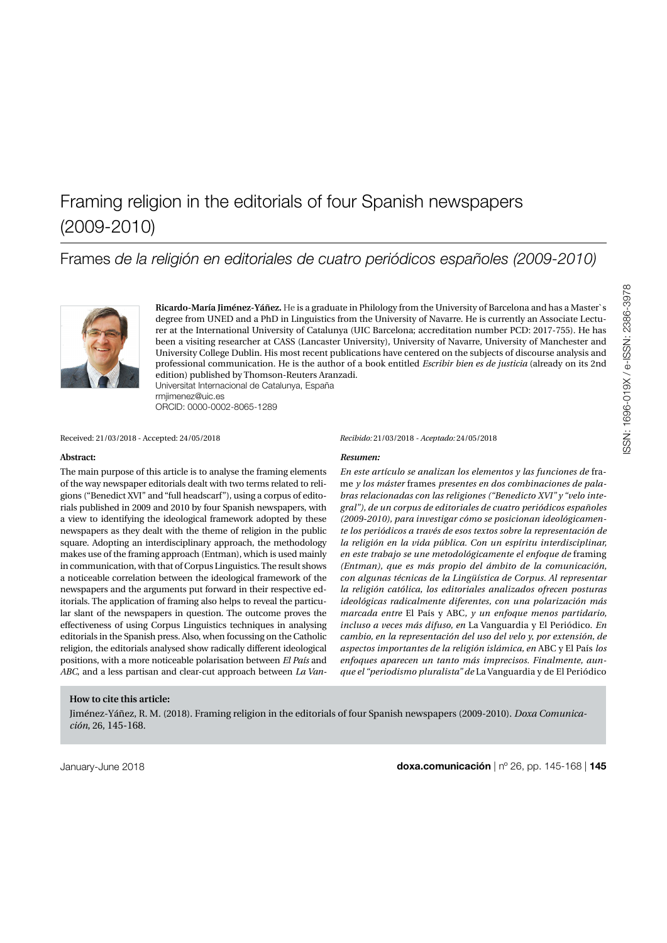Frames *de la religión en editoriales de cuatro periódicos españoles (2009-2010)*



**Ricardo-María Jiménez-Yáñez.** He is a graduate in Philology from the University of Barcelona and has a Master`s degree from UNED and a PhD in Linguistics from the University of Navarre. He is currently an Associate Lecturer at the International University of Catalunya (UIC Barcelona; accreditation number PCD: 2017-755). He has been a visiting researcher at CASS (Lancaster University), University of Navarre, University of Manchester and University College Dublin. His most recent publications have centered on the subjects of discourse analysis and professional communication. He is the author of a book entitled *Escribir bien es de justicia* (already on its 2nd edition) published by Thomson-Reuters Aranzadi. [Universitat Internacional de Catalunya, España](https://www.uic.es/en) [rmjimenez@uic.es](mailto:rmjimenez%40uic.es?subject=)

ORCID: [0000-0002-8065-1289](https://orcid.org/0000-0002-8065-1289)

Received: 21/03/2018 - Accepted: 24/05/2018 *Recibido:* 21/03/2018 *- Aceptado:* 24/05/2018

#### **Abstract:**

The main purpose of this article is to analyse the framing elements of the way newspaper editorials dealt with two terms related to religions ("Benedict XVI" and "full headscarf"), using a corpus of editorials published in 2009 and 2010 by four Spanish newspapers, with a view to identifying the ideological framework adopted by these newspapers as they dealt with the theme of religion in the public square. Adopting an interdisciplinary approach, the methodology makes use of the framing approach (Entman), which is used mainly in communication, with that of Corpus Linguistics. The result shows a noticeable correlation between the ideological framework of the newspapers and the arguments put forward in their respective editorials. The application of framing also helps to reveal the particular slant of the newspapers in question. The outcome proves the effectiveness of using Corpus Linguistics techniques in analysing editorials in the Spanish press. Also, when focussing on the Catholic religion, the editorials analysed show radically different ideological positions, with a more noticeable polarisation between *El País* and *ABC*, and a less partisan and clear-cut approach between *La Van-*

#### *Resumen:*

*En este artículo se analizan los elementos y las funciones de* frame *y los máster* frames *presentes en dos combinaciones de palabras relacionadas con las religiones ("Benedicto XVI" y "velo integral"), de un corpus de editoriales de cuatro periódicos españoles (2009-2010), para investigar cómo se posicionan ideológicamente los periódicos a través de esos textos sobre la representación de la religión en la vida pública. Con un espíritu interdisciplinar, en este trabajo se une metodológicamente el enfoque de* framing *(Entman), que es más propio del ámbito de la comunicación, con algunas técnicas de la Lingüística de Corpus. Al representar la religión católica, los editoriales analizados ofrecen posturas ideológicas radicalmente diferentes, con una polarización más marcada entre* El País y ABC*, y un enfoque menos partidario, incluso a veces más difuso, en* La Vanguardia y El Periódico. *En cambio, en la representación del uso del velo y, por extensión, de aspectos importantes de la religión islámica, en* ABC y El País *los enfoques aparecen un tanto más imprecisos. Finalmente, aunque el "periodismo pluralista" de* La Vanguardia y de El Periódico

#### **How to cite this article:**

Jiménez-Yáñez, R. M. (2018). Framing religion in the editorials of four Spanish newspapers (2009-2010). *Doxa Comunicación*, 26, 145-168.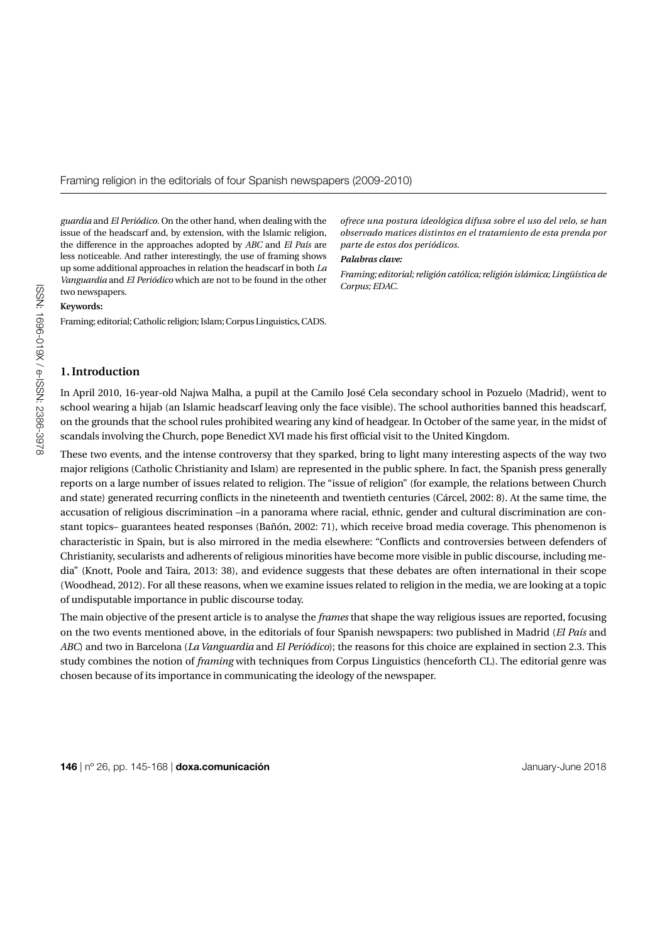*guardia* and *El Periódico*. On the other hand, when dealing with the issue of the headscarf and, by extension, with the Islamic religion, the difference in the approaches adopted by *ABC* and *El País* are less noticeable. And rather interestingly, the use of framing shows up some additional approaches in relation the headscarf in both *La Vanguardia* and *El Periódico* which are not to be found in the other two newspapers.

#### **Keywords:**

Framing; editorial; Catholic religion; Islam; Corpus Linguistics, CADS.

*ofrece una postura ideológica difusa sobre el uso del velo, se han observado matices distintos en el tratamiento de esta prenda por parte de estos dos periódicos.*

#### *Palabras clave:*

*Framing; editorial; religión católica; religión islámica; Lingüística de Corpus; EDAC.*

#### **1. Introduction**

In April 2010, 16-year-old Najwa Malha, a pupil at the Camilo José Cela secondary school in Pozuelo (Madrid), went to school wearing a hijab (an Islamic headscarf leaving only the face visible). The school authorities banned this headscarf, on the grounds that the school rules prohibited wearing any kind of headgear. In October of the same year, in the midst of scandals involving the Church, pope Benedict XVI made his first official visit to the United Kingdom.

These two events, and the intense controversy that they sparked, bring to light many interesting aspects of the way two major religions (Catholic Christianity and Islam) are represented in the public sphere. In fact, the Spanish press generally reports on a large number of issues related to religion. The "issue of religion" (for example, the relations between Church and state) generated recurring conflicts in the nineteenth and twentieth centuries (Cárcel, 2002: 8). At the same time, the accusation of religious discrimination –in a panorama where racial, ethnic, gender and cultural discrimination are constant topics– guarantees heated responses (Bañón, 2002: 71), which receive broad media coverage. This phenomenon is characteristic in Spain, but is also mirrored in the media elsewhere: "Conflicts and controversies between defenders of Christianity, secularists and adherents of religious minorities have become more visible in public discourse, including media" (Knott, Poole and Taira, 2013: 38), and evidence suggests that these debates are often international in their scope (Woodhead, 2012). For all these reasons, when we examine issues related to religion in the media, we are looking at a topic of undisputable importance in public discourse today.

The main objective of the present article is to analyse the *frames* that shape the way religious issues are reported, focusing on the two events mentioned above, in the editorials of four Spanish newspapers: two published in Madrid (*El País* and *ABC*) and two in Barcelona (*La Vanguardia* and *El Periódico*); the reasons for this choice are explained in section 2.3. This study combines the notion of *framing* with techniques from Corpus Linguistics (henceforth CL). The editorial genre was chosen because of its importance in communicating the ideology of the newspaper.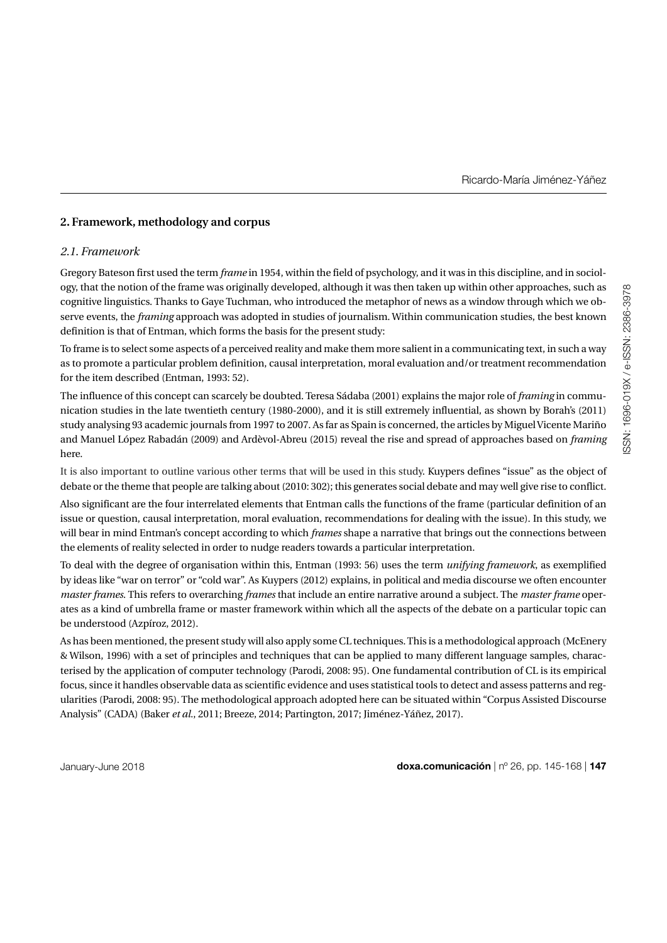# **2. Framework, methodology and corpus**

# *2.1. Framework*

Gregory Bateson first used the term *frame* in 1954, within the field of psychology, and it was in this discipline, and in sociology, that the notion of the frame was originally developed, although it was then taken up within other approaches, such as cognitive linguistics. Thanks to Gaye Tuchman, who introduced the metaphor of news as a window through which we observe events, the *framing* approach was adopted in studies of journalism. Within communication studies, the best known definition is that of Entman, which forms the basis for the present study:

To frame is to select some aspects of a perceived reality and make them more salient in a communicating text, in such a way as to promote a particular problem definition, causal interpretation, moral evaluation and/or treatment recommendation for the item described (Entman, 1993: 52).

The influence of this concept can scarcely be doubted. Teresa Sádaba (2001) explains the major role of *framing* in communication studies in the late twentieth century (1980-2000), and it is still extremely influential, as shown by Borah's (2011) study analysing 93 academic journals from 1997 to 2007. As far as Spain is concerned, the articles by Miguel Vicente Mariño and Manuel López Rabadán (2009) and Ardèvol-Abreu (2015) reveal the rise and spread of approaches based on *framing* here.

It is also important to outline various other terms that will be used in this study. Kuypers defines "issue" as the object of debate or the theme that people are talking about (2010: 302); this generates social debate and may well give rise to conflict.

Also significant are the four interrelated elements that Entman calls the functions of the frame (particular definition of an issue or question, causal interpretation, moral evaluation, recommendations for dealing with the issue). In this study, we will bear in mind Entman's concept according to which *frames* shape a narrative that brings out the connections between the elements of reality selected in order to nudge readers towards a particular interpretation.

To deal with the degree of organisation within this, Entman (1993: 56) uses the term *unifying framework*, as exemplified by ideas like "war on terror" or "cold war". As Kuypers (2012) explains, in political and media discourse we often encounter *master frames*. This refers to overarching *frames* that include an entire narrative around a subject. The *master frame* operates as a kind of umbrella frame or master framework within which all the aspects of the debate on a particular topic can be understood (Azpíroz, 2012).

As has been mentioned, the present study will also apply some CL techniques. This is a methodological approach (McEnery & Wilson, 1996) with a set of principles and techniques that can be applied to many different language samples, characterised by the application of computer technology (Parodi, 2008: 95). One fundamental contribution of CL is its empirical focus, since it handles observable data as scientific evidence and uses statistical tools to detect and assess patterns and regularities (Parodi, 2008: 95). The methodological approach adopted here can be situated within "Corpus Assisted Discourse Analysis" (CADA) (Baker *et al.*, 2011; Breeze, 2014; Partington, 2017; Jiménez-Yáñez, 2017).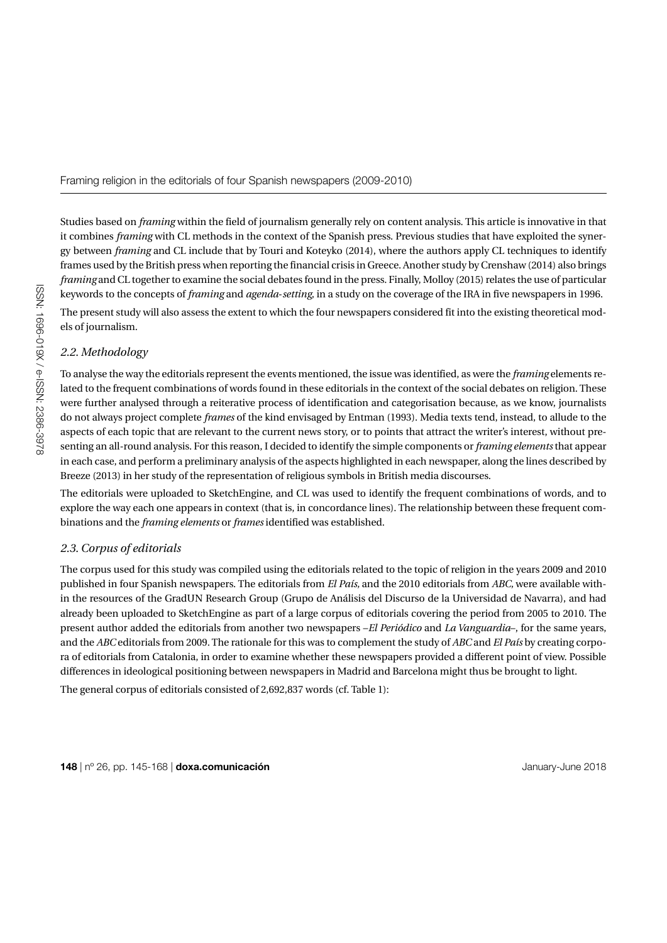Studies based on *framing* within the field of journalism generally rely on content analysis. This article is innovative in that it combines *framing* with CL methods in the context of the Spanish press. Previous studies that have exploited the synergy between *framing* and CL include that by Touri and Koteyko (2014), where the authors apply CL techniques to identify frames used by the British press when reporting the financial crisis in Greece. Another study by Crenshaw (2014) also brings *framing* and CL together to examine the social debates found in the press. Finally, Molloy (2015) relates the use of particular keywords to the concepts of *framing* and *agenda*-*setting*, in a study on the coverage of the IRA in five newspapers in 1996.

The present study will also assess the extent to which the four newspapers considered fit into the existing theoretical models of journalism.

# *2.2. Methodology*

To analyse the way the editorials represent the events mentioned, the issue was identified, as were the *framing* elements related to the frequent combinations of words found in these editorials in the context of the social debates on religion. These were further analysed through a reiterative process of identification and categorisation because, as we know, journalists do not always project complete *frames* of the kind envisaged by Entman (1993). Media texts tend, instead, to allude to the aspects of each topic that are relevant to the current news story, or to points that attract the writer's interest, without presenting an all-round analysis. For this reason, I decided to identify the simple components or *framing elements* that appear in each case, and perform a preliminary analysis of the aspects highlighted in each newspaper, along the lines described by Breeze (2013) in her study of the representation of religious symbols in British media discourses.

The editorials were uploaded to SketchEngine, and CL was used to identify the frequent combinations of words, and to explore the way each one appears in context (that is, in concordance lines). The relationship between these frequent combinations and the *framing elements* or *frames* identified was established.

#### *2.3. Corpus of editorials*

The corpus used for this study was compiled using the editorials related to the topic of religion in the years 2009 and 2010 published in four Spanish newspapers. The editorials from *El País,* and the 2010 editorials from *ABC,* were available within the resources of the GradUN Research Group (Grupo de Análisis del Discurso de la Universidad de Navarra), and had already been uploaded to SketchEngine as part of a large corpus of editorials covering the period from 2005 to 2010. The present author added the editorials from another two newspapers –*El Periódico* and *La Vanguardia*–, for the same years, and the *ABC* editorials from 2009. The rationale for this was to complement the study of *ABC* and *El País* by creating corpora of editorials from Catalonia, in order to examine whether these newspapers provided a different point of view. Possible differences in ideological positioning between newspapers in Madrid and Barcelona might thus be brought to light. The general corpus of editorials consisted of 2,692,837 words (cf. Table 1):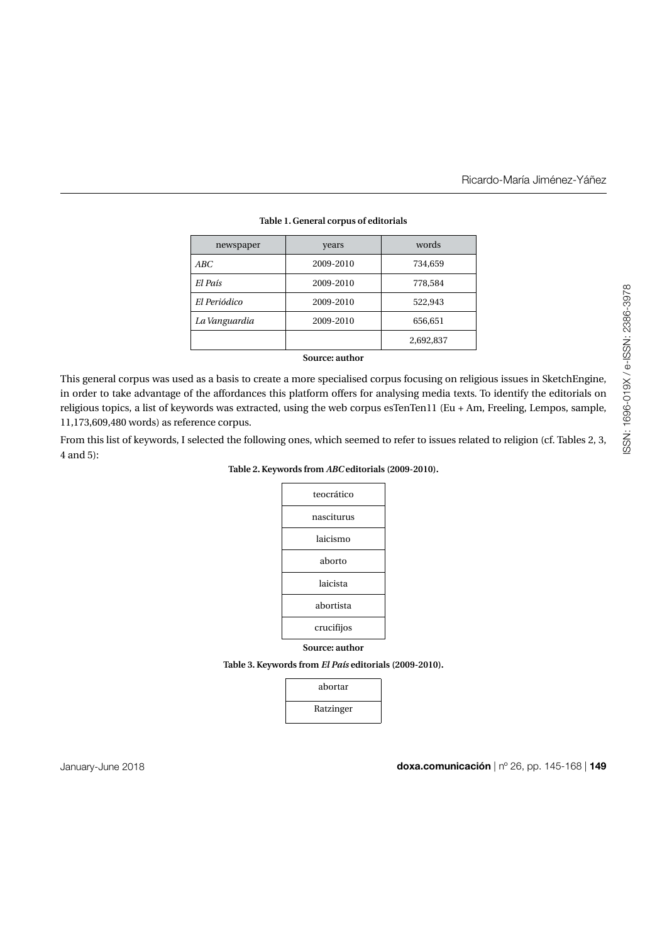| newspaper     | years     | words     |
|---------------|-----------|-----------|
| ABC           | 2009-2010 | 734,659   |
| El País       | 2009-2010 | 778,584   |
| El Periódico  | 2009-2010 | 522,943   |
| La Vanguardia | 2009-2010 | 656,651   |
|               |           | 2,692,837 |

## **Table 1. General corpus of editorials**

**Source: author**

This general corpus was used as a basis to create a more specialised corpus focusing on religious issues in SketchEngine, in order to take advantage of the affordances this platform offers for analysing media texts. To identify the editorials on religious topics, a list of keywords was extracted, using the web corpus esTenTen11 (Eu + Am, Freeling, Lempos, sample, 11,173,609,480 words) as reference corpus.

From this list of keywords, I selected the following ones, which seemed to refer to issues related to religion (cf. Tables 2, 3, 4 and 5):

| Table 2. Keywords from ABC editorials (2009-2010). |
|----------------------------------------------------|
|----------------------------------------------------|

| teocrático     |
|----------------|
| nasciturus     |
| laicismo       |
| aborto         |
| laicista       |
| abortista      |
| crucifijos     |
| Source: author |

**Table 3. Keywords from** *El País* **editorials (2009-2010).**

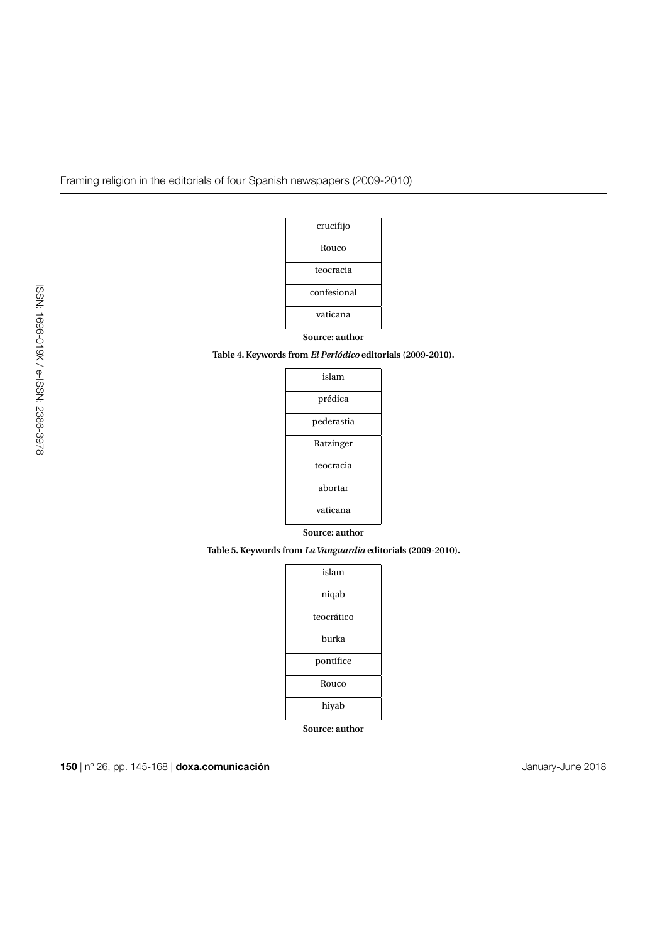

# **Source: author**

**Table 4. Keywords from** *El Periódico* **editorials (2009-2010).**

| islam          |
|----------------|
| prédica        |
| pederastia     |
| Ratzinger      |
| teocracia      |
| abortar        |
| vaticana       |
| Source: author |

**Table 5. Keywords from** *La Vanguardia* **editorials (2009-2010).**

| islam      |
|------------|
| niqab      |
| teocrático |
| burka      |
| pontífice  |
| Rouco      |
| hiyab      |

**Source: author**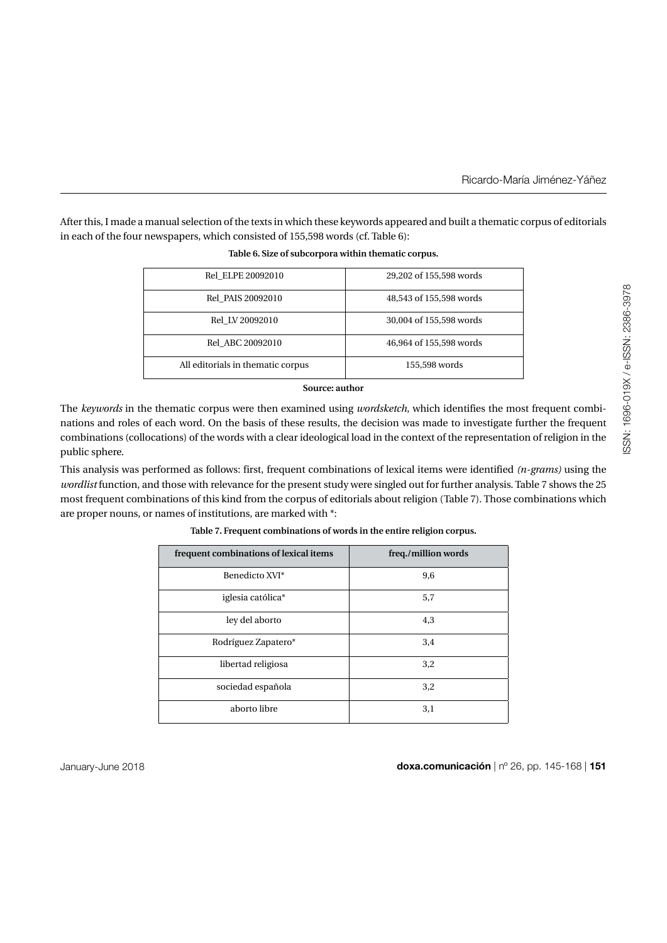After this, I made a manual selection of the texts in which these keywords appeared and built a thematic corpus of editorials in each of the four newspapers, which consisted of 155,598 words (cf. Table 6):

| Rel ELPE 20092010                 | 29,202 of 155,598 words |
|-----------------------------------|-------------------------|
| Rel PAIS 20092010                 | 48,543 of 155,598 words |
| Rel LV 20092010                   | 30,004 of 155,598 words |
| Rel ABC 20092010                  | 46,964 of 155,598 words |
| All editorials in thematic corpus | 155,598 words           |

| Table 6. Size of subcorpora within thematic corpus. |  |
|-----------------------------------------------------|--|
|-----------------------------------------------------|--|

#### **Source: author**

The *keywords* in the thematic corpus were then examined using *wordsketch*, which identifies the most frequent combinations and roles of each word. On the basis of these results, the decision was made to investigate further the frequent combinations (collocations) of the words with a clear ideological load in the context of the representation of religion in the public sphere.

This analysis was performed as follows: first, frequent combinations of lexical items were identified *(n-grams)* using the *wordlist* function, and those with relevance for the present study were singled out for further analysis. Table 7 shows the 25 most frequent combinations of this kind from the corpus of editorials about religion (Table 7). Those combinations which are proper nouns, or names of institutions, are marked with \*:

| frequent combinations of lexical items | freq./million words |
|----------------------------------------|---------------------|
| Benedicto XVI*                         | 9,6                 |
| iglesia católica*                      | 5,7                 |
| ley del aborto                         | 4,3                 |
| Rodríguez Zapatero*                    | 3,4                 |
| libertad religiosa                     | 3,2                 |
| sociedad española                      | 3,2                 |
| aborto libre                           | 3,1                 |

#### **Table 7. Frequent combinations of words in the entire religion corpus.**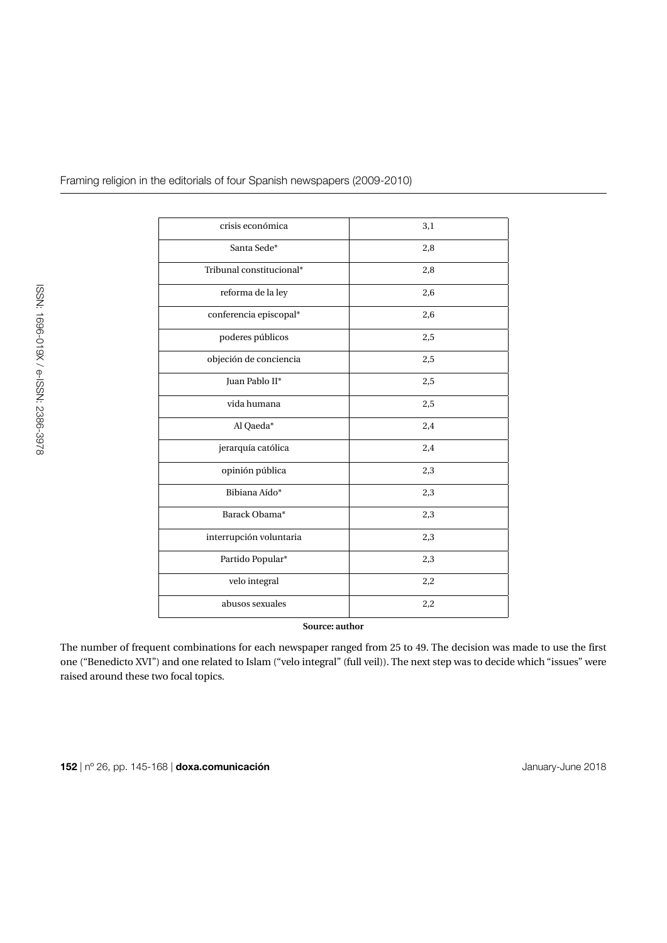| crisis económica         | 3,1 |
|--------------------------|-----|
| Santa Sede*              | 2,8 |
| Tribunal constitucional* | 2,8 |
| reforma de la ley        | 2,6 |
| conferencia episcopal*   | 2,6 |
| poderes públicos         | 2,5 |
| objeción de conciencia   | 2,5 |
| Juan Pablo II*           | 2,5 |
| vida humana              | 2,5 |
| Al Qaeda*                | 2,4 |
| jerarquía católica       | 2,4 |
| opinión pública          | 2,3 |
| Bibiana Aído*            | 2,3 |
| Barack Obama*            | 2,3 |
| interrupción voluntaria  | 2,3 |
| Partido Popular*         | 2,3 |
| velo integral            | 2,2 |
| abusos sexuales          | 2,2 |
|                          |     |

**Source: author**

The number of frequent combinations for each newspaper ranged from 25 to 49. The decision was made to use the first one ("Benedicto XVI") and one related to Islam ("velo integral" (full veil)). The next step was to decide which "issues" were raised around these two focal topics.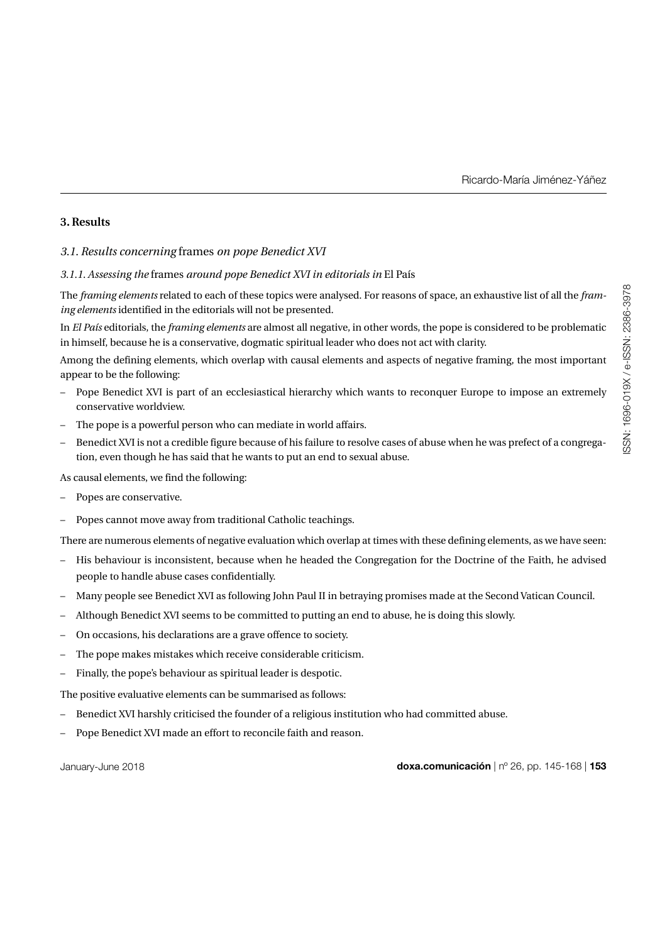# **3. Results**

## *3.1. Results concerning* frames *on pope Benedict XVI*

#### *3.1.1. Assessing the* frames *around pope Benedict XVI in editorials in* El País

The *framing elements* related to each of these topics were analysed. For reasons of space, an exhaustive list of all the *framing elements* identified in the editorials will not be presented.

In *El País* editorials, the *framing elements* are almost all negative, in other words, the pope is considered to be problematic in himself, because he is a conservative, dogmatic spiritual leader who does not act with clarity.

Among the defining elements, which overlap with causal elements and aspects of negative framing, the most important appear to be the following:

- Pope Benedict XVI is part of an ecclesiastical hierarchy which wants to reconquer Europe to impose an extremely conservative worldview.
- The pope is a powerful person who can mediate in world affairs.
- Benedict XVI is not a credible figure because of his failure to resolve cases of abuse when he was prefect of a congregation, even though he has said that he wants to put an end to sexual abuse.

As causal elements, we find the following:

- Popes are conservative.
- Popes cannot move away from traditional Catholic teachings.

There are numerous elements of negative evaluation which overlap at times with these defining elements, as we have seen:

- His behaviour is inconsistent, because when he headed the Congregation for the Doctrine of the Faith, he advised people to handle abuse cases confidentially.
- Many people see Benedict XVI as following John Paul II in betraying promises made at the Second Vatican Council.
- Although Benedict XVI seems to be committed to putting an end to abuse, he is doing this slowly.
- On occasions, his declarations are a grave offence to society.
- The pope makes mistakes which receive considerable criticism.
- Finally, the pope's behaviour as spiritual leader is despotic.

The positive evaluative elements can be summarised as follows:

- Benedict XVI harshly criticised the founder of a religious institution who had committed abuse.
- Pope Benedict XVI made an effort to reconcile faith and reason.

January-June 2018 **doxa.comunicación** | nº 26, pp. 145-168 | **153**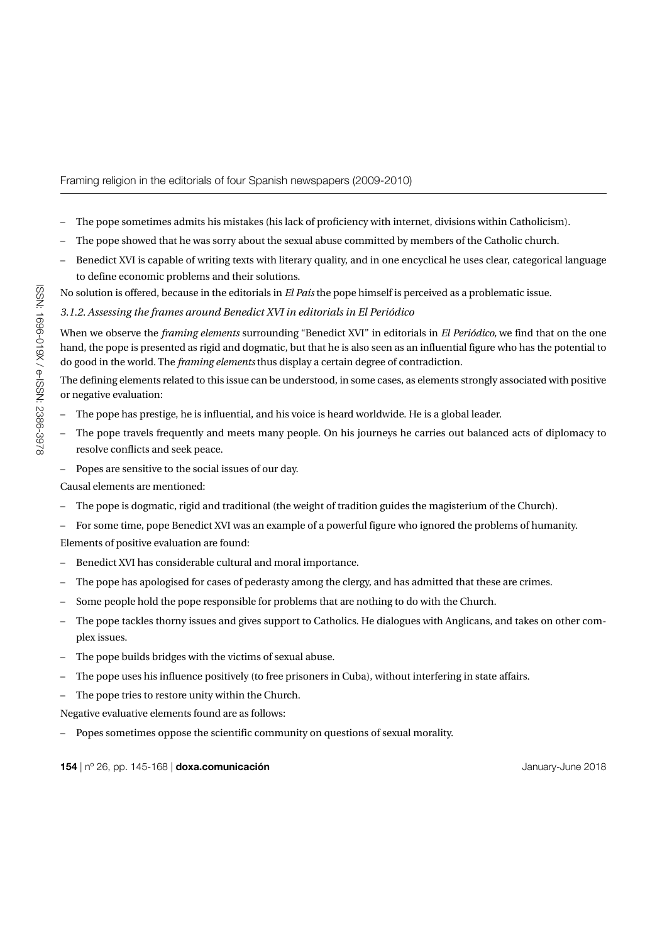- The pope sometimes admits his mistakes (his lack of proficiency with internet, divisions within Catholicism).
- The pope showed that he was sorry about the sexual abuse committed by members of the Catholic church.
- Benedict XVI is capable of writing texts with literary quality, and in one encyclical he uses clear, categorical language to define economic problems and their solutions.

No solution is offered, because in the editorials in *El País* the pope himself is perceived as a problematic issue.

## *3.1.2. Assessing the frames around Benedict XVI in editorials in El Periódico*

When we observe the *framing elements* surrounding "Benedict XVI" in editorials in *El Periódico,* we find that on the one hand, the pope is presented as rigid and dogmatic, but that he is also seen as an influential figure who has the potential to do good in the world. The *framing elements* thus display a certain degree of contradiction.

The defining elements related to this issue can be understood, in some cases, as elements strongly associated with positive or negative evaluation:

- The pope has prestige, he is influential, and his voice is heard worldwide. He is a global leader.
- The pope travels frequently and meets many people. On his journeys he carries out balanced acts of diplomacy to resolve conflicts and seek peace.
- Popes are sensitive to the social issues of our day.

Causal elements are mentioned:

- The pope is dogmatic, rigid and traditional (the weight of tradition guides the magisterium of the Church).
- For some time, pope Benedict XVI was an example of a powerful figure who ignored the problems of humanity. Elements of positive evaluation are found:
- Benedict XVI has considerable cultural and moral importance.
- The pope has apologised for cases of pederasty among the clergy, and has admitted that these are crimes.
- Some people hold the pope responsible for problems that are nothing to do with the Church.
- The pope tackles thorny issues and gives support to Catholics. He dialogues with Anglicans, and takes on other complex issues.
- The pope builds bridges with the victims of sexual abuse.
- The pope uses his influence positively (to free prisoners in Cuba), without interfering in state affairs.
- The pope tries to restore unity within the Church.

Negative evaluative elements found are as follows:

– Popes sometimes oppose the scientific community on questions of sexual morality.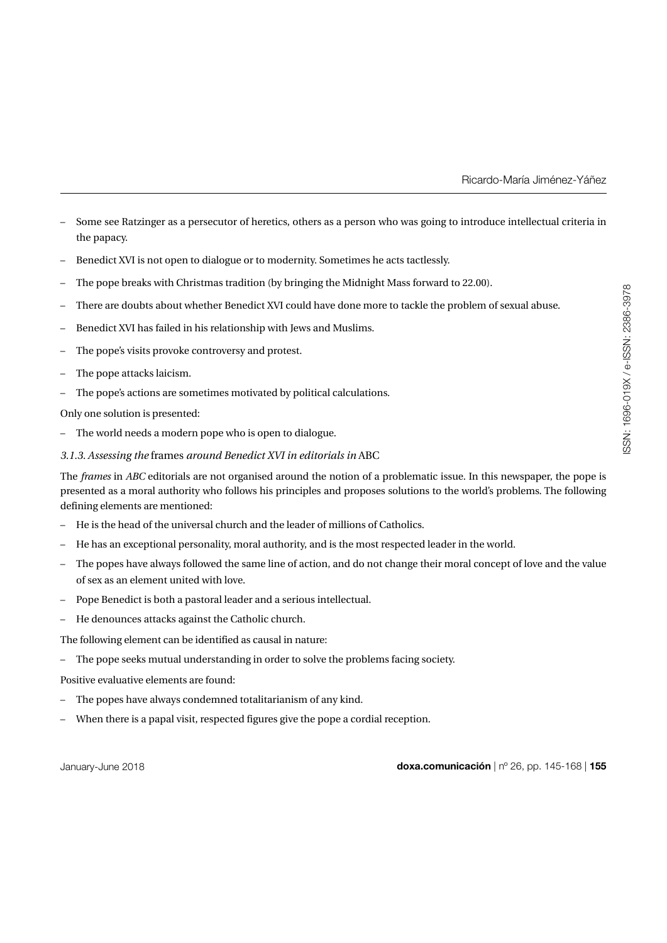- Some see Ratzinger as a persecutor of heretics, others as a person who was going to introduce intellectual criteria in the papacy.
- Benedict XVI is not open to dialogue or to modernity. Sometimes he acts tactlessly.
- The pope breaks with Christmas tradition (by bringing the Midnight Mass forward to 22.00).
- There are doubts about whether Benedict XVI could have done more to tackle the problem of sexual abuse.
- Benedict XVI has failed in his relationship with Jews and Muslims.
- The pope's visits provoke controversy and protest.
- The pope attacks laicism.
- The pope's actions are sometimes motivated by political calculations.

Only one solution is presented:

– The world needs a modern pope who is open to dialogue.

#### *3.1.3. Assessing the* frames *around Benedict XVI in editorials in* ABC

The *frames* in *ABC* editorials are not organised around the notion of a problematic issue. In this newspaper, the pope is presented as a moral authority who follows his principles and proposes solutions to the world's problems. The following defining elements are mentioned:

- He is the head of the universal church and the leader of millions of Catholics.
- He has an exceptional personality, moral authority, and is the most respected leader in the world.
- The popes have always followed the same line of action, and do not change their moral concept of love and the value of sex as an element united with love.
- Pope Benedict is both a pastoral leader and a serious intellectual.
- He denounces attacks against the Catholic church.

The following element can be identified as causal in nature:

– The pope seeks mutual understanding in order to solve the problems facing society.

Positive evaluative elements are found:

- The popes have always condemned totalitarianism of any kind.
- When there is a papal visit, respected figures give the pope a cordial reception.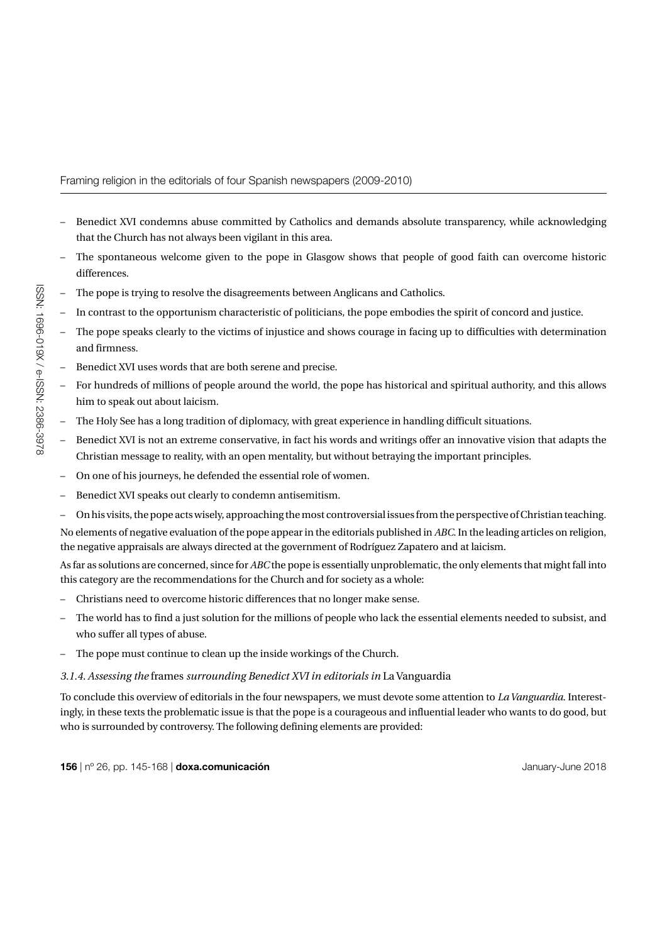- Benedict XVI condemns abuse committed by Catholics and demands absolute transparency, while acknowledging that the Church has not always been vigilant in this area.
- The spontaneous welcome given to the pope in Glasgow shows that people of good faith can overcome historic differences.
- The pope is trying to resolve the disagreements between Anglicans and Catholics.
- In contrast to the opportunism characteristic of politicians, the pope embodies the spirit of concord and justice.
- The pope speaks clearly to the victims of injustice and shows courage in facing up to difficulties with determination and firmness.
- Benedict XVI uses words that are both serene and precise.
- For hundreds of millions of people around the world, the pope has historical and spiritual authority, and this allows him to speak out about laicism.
- The Holy See has a long tradition of diplomacy, with great experience in handling difficult situations.
- Benedict XVI is not an extreme conservative, in fact his words and writings offer an innovative vision that adapts the Christian message to reality, with an open mentality, but without betraying the important principles.
- On one of his journeys, he defended the essential role of women.
- Benedict XVI speaks out clearly to condemn antisemitism.
- On his visits, the pope acts wisely, approaching the most controversial issues from the perspective of Christian teaching.

No elements of negative evaluation of the pope appear in the editorials published in *ABC*. In the leading articles on religion, the negative appraisals are always directed at the government of Rodríguez Zapatero and at laicism.

As far as solutions are concerned, since for *ABC* the pope is essentially unproblematic, the only elements that might fall into this category are the recommendations for the Church and for society as a whole:

- Christians need to overcome historic differences that no longer make sense.
- The world has to find a just solution for the millions of people who lack the essential elements needed to subsist, and who suffer all types of abuse.
- The pope must continue to clean up the inside workings of the Church.

## *3.1.4. Assessing the* frames *surrounding Benedict XVI in editorials in* La Vanguardia

To conclude this overview of editorials in the four newspapers, we must devote some attention to *La Vanguardia*. Interestingly, in these texts the problematic issue is that the pope is a courageous and influential leader who wants to do good, but who is surrounded by controversy. The following defining elements are provided: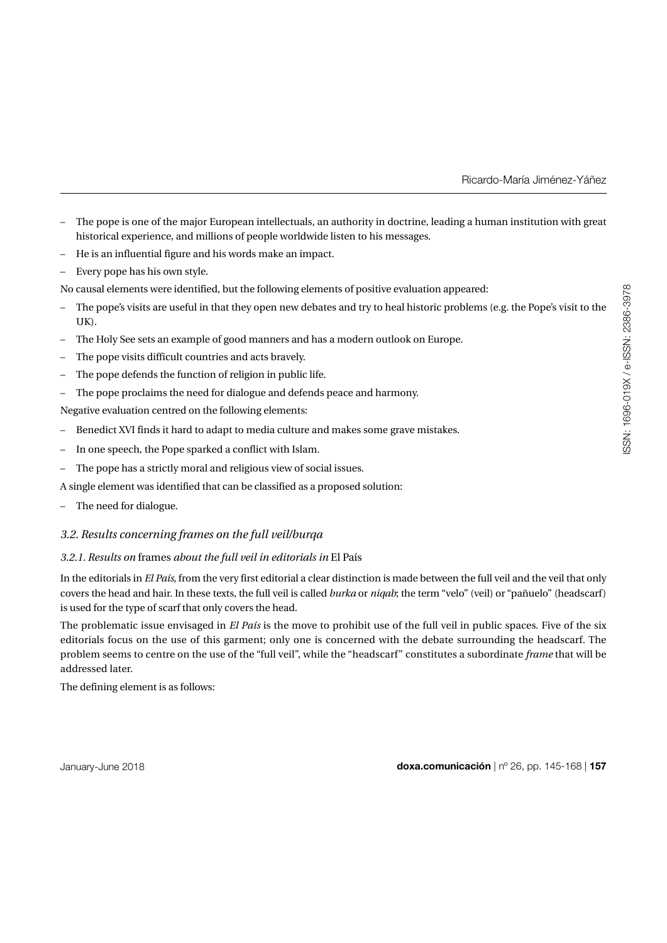- The pope is one of the major European intellectuals, an authority in doctrine, leading a human institution with great historical experience, and millions of people worldwide listen to his messages.
- He is an influential figure and his words make an impact.
- Every pope has his own style.

No causal elements were identified, but the following elements of positive evaluation appeared:

- The pope's visits are useful in that they open new debates and try to heal historic problems (e.g. the Pope's visit to the UK).
- The Holy See sets an example of good manners and has a modern outlook on Europe.
- The pope visits difficult countries and acts bravely.
- The pope defends the function of religion in public life.
- The pope proclaims the need for dialogue and defends peace and harmony.
- Negative evaluation centred on the following elements:
- Benedict XVI finds it hard to adapt to media culture and makes some grave mistakes.
- In one speech, the Pope sparked a conflict with Islam.
- The pope has a strictly moral and religious view of social issues.
- A single element was identified that can be classified as a proposed solution:
- The need for dialogue.

## *3.2. Results concerning frames on the full veil/burqa*

#### *3.2.1. Results on* frames *about the full veil in editorials in* El País

In the editorials in *El País*, from the very first editorial a clear distinction is made between the full veil and the veil that only covers the head and hair. In these texts, the full veil is called *burka* or *niqab*; the term "velo" (veil) or "pañuelo" (headscarf) is used for the type of scarf that only covers the head.

The problematic issue envisaged in *El País* is the move to prohibit use of the full veil in public spaces. Five of the six editorials focus on the use of this garment; only one is concerned with the debate surrounding the headscarf. The problem seems to centre on the use of the "full veil", while the "headscarf" constitutes a subordinate *frame* that will be addressed later.

The defining element is as follows: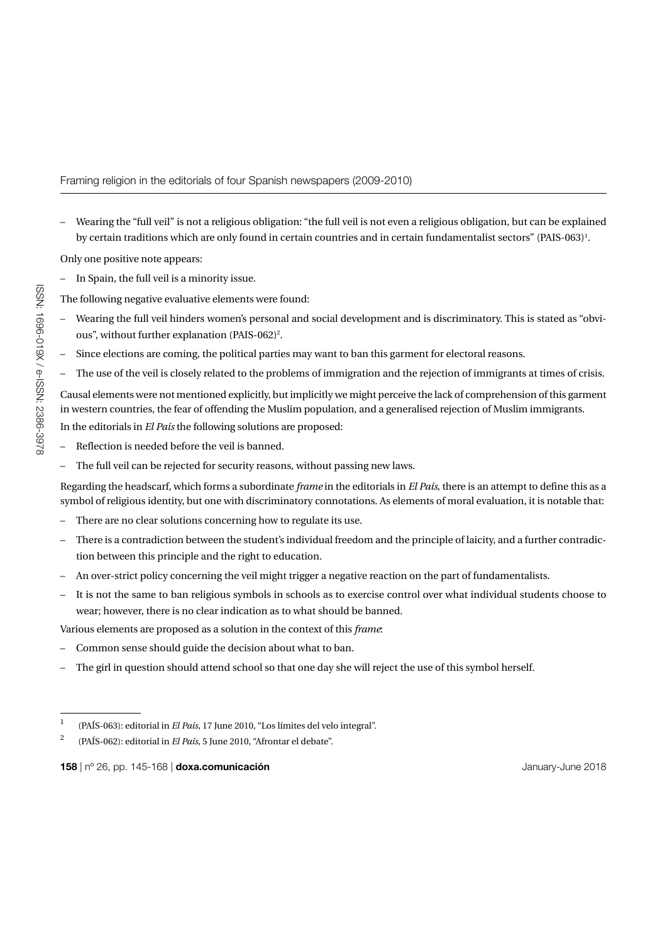– Wearing the "full veil" is not a religious obligation: "the full veil is not even a religious obligation, but can be explained by certain traditions which are only found in certain countries and in certain fundamentalist sectors" (PAIS-063) $^{\rm l}$ .

Only one positive note appears:

– In Spain, the full veil is a minority issue.

The following negative evaluative elements were found:

- Wearing the full veil hinders women's personal and social development and is discriminatory. This is stated as "obvious", without further explanation (PAIS-062)<sup>2</sup>.
- Since elections are coming, the political parties may want to ban this garment for electoral reasons.
- The use of the veil is closely related to the problems of immigration and the rejection of immigrants at times of crisis.

Causal elements were not mentioned explicitly, but implicitly we might perceive the lack of comprehension of this garment in western countries, the fear of offending the Muslim population, and a generalised rejection of Muslim immigrants. In the editorials in *El País* the following solutions are proposed:

- Reflection is needed before the veil is banned.
- The full veil can be rejected for security reasons, without passing new laws.

Regarding the headscarf, which forms a subordinate *frame* in the editorials in *El País*, there is an attempt to define this as a symbol of religious identity, but one with discriminatory connotations. As elements of moral evaluation, it is notable that:

- There are no clear solutions concerning how to regulate its use.
- There is a contradiction between the student's individual freedom and the principle of laicity, and a further contradiction between this principle and the right to education.
- An over-strict policy concerning the veil might trigger a negative reaction on the part of fundamentalists.
- It is not the same to ban religious symbols in schools as to exercise control over what individual students choose to wear; however, there is no clear indication as to what should be banned.

Various elements are proposed as a solution in the context of this *frame*:

- Common sense should guide the decision about what to ban.
- The girl in question should attend school so that one day she will reject the use of this symbol herself.

<sup>1 (</sup>PAÍS-063): editorial in *El País*, 17 June 2010, "Los límites del velo integral".

<sup>2 (</sup>PAÍS-062): editorial in *El País*, 5 June 2010, "Afrontar el debate".

**<sup>158</sup>** | nº 26, pp. 145-168 | **doxa.comunicación** January-June 2018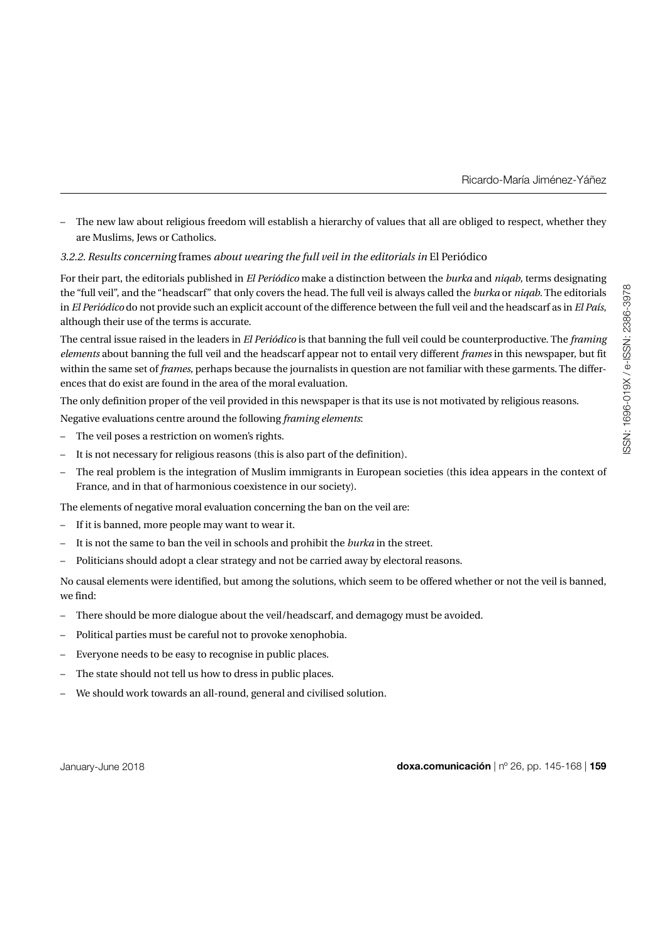– The new law about religious freedom will establish a hierarchy of values that all are obliged to respect, whether they are Muslims, Jews or Catholics.

## *3.2.2. Results concerning* frames *about wearing the full veil in the editorials in* El Periódico

For their part, the editorials published in *El Periódico* make a distinction between the *burka* and *niqab*, terms designating the "full veil", and the "headscarf" that only covers the head. The full veil is always called the *burka* or *niqab*. The editorials in *El Periódico* do not provide such an explicit account of the difference between the full veil and the headscarf as in *El País*, although their use of the terms is accurate.

The central issue raised in the leaders in *El Periódico* is that banning the full veil could be counterproductive. The *framing elements* about banning the full veil and the headscarf appear not to entail very different *frames* in this newspaper, but fit within the same set of *frames*, perhaps because the journalists in question are not familiar with these garments. The differences that do exist are found in the area of the moral evaluation.

The only definition proper of the veil provided in this newspaper is that its use is not motivated by religious reasons.

Negative evaluations centre around the following *framing elements*:

- The veil poses a restriction on women's rights.
- It is not necessary for religious reasons (this is also part of the definition).
- The real problem is the integration of Muslim immigrants in European societies (this idea appears in the context of France, and in that of harmonious coexistence in our society).

The elements of negative moral evaluation concerning the ban on the veil are:

- If it is banned, more people may want to wear it.
- It is not the same to ban the veil in schools and prohibit the *burka* in the street.
- Politicians should adopt a clear strategy and not be carried away by electoral reasons.

No causal elements were identified, but among the solutions, which seem to be offered whether or not the veil is banned, we find:

- There should be more dialogue about the veil/headscarf, and demagogy must be avoided.
- Political parties must be careful not to provoke xenophobia.
- Everyone needs to be easy to recognise in public places.
- The state should not tell us how to dress in public places.
- We should work towards an all-round, general and civilised solution.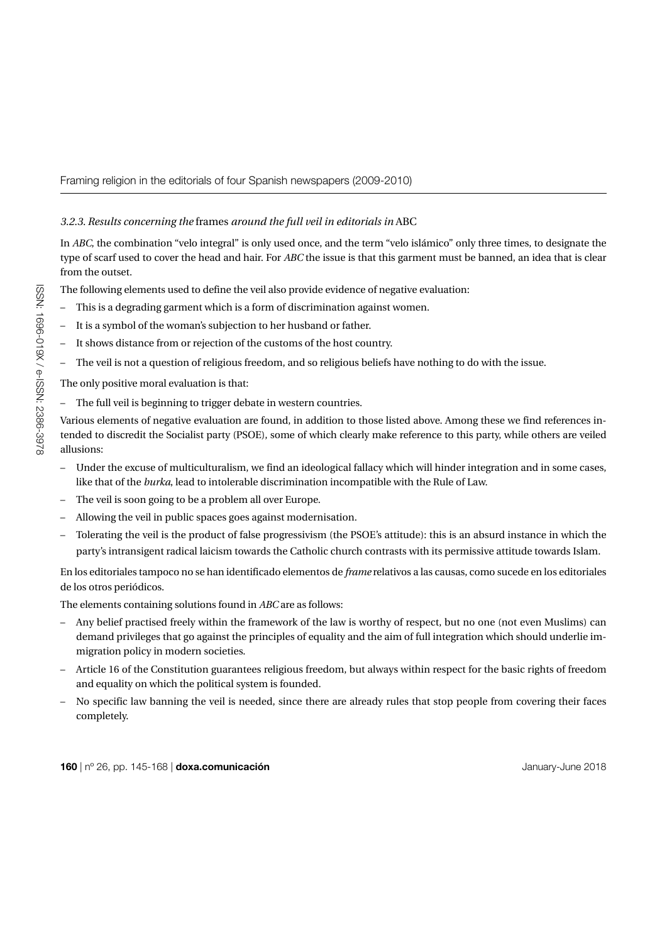# *3.2.3. Results concerning the* frames *around the full veil in editorials in* ABC

In *ABC*, the combination "velo integral" is only used once, and the term "velo islámico" only three times, to designate the type of scarf used to cover the head and hair. For *ABC* the issue is that this garment must be banned, an idea that is clear from the outset.

The following elements used to define the veil also provide evidence of negative evaluation:

- This is a degrading garment which is a form of discrimination against women.
- It is a symbol of the woman's subjection to her husband or father.
- It shows distance from or rejection of the customs of the host country.
- The veil is not a question of religious freedom, and so religious beliefs have nothing to do with the issue.

The only positive moral evaluation is that:

– The full veil is beginning to trigger debate in western countries.

Various elements of negative evaluation are found, in addition to those listed above. Among these we find references intended to discredit the Socialist party (PSOE), some of which clearly make reference to this party, while others are veiled allusions:

- Under the excuse of multiculturalism, we find an ideological fallacy which will hinder integration and in some cases, like that of the *burka*, lead to intolerable discrimination incompatible with the Rule of Law.
- The veil is soon going to be a problem all over Europe.
- Allowing the veil in public spaces goes against modernisation.
- Tolerating the veil is the product of false progressivism (the PSOE's attitude): this is an absurd instance in which the party's intransigent radical laicism towards the Catholic church contrasts with its permissive attitude towards Islam.

En los editoriales tampoco no se han identificado elementos de *frame* relativos a las causas, como sucede en los editoriales de los otros periódicos.

The elements containing solutions found in *ABC* are as follows:

- Any belief practised freely within the framework of the law is worthy of respect, but no one (not even Muslims) can demand privileges that go against the principles of equality and the aim of full integration which should underlie immigration policy in modern societies.
- Article 16 of the Constitution guarantees religious freedom, but always within respect for the basic rights of freedom and equality on which the political system is founded.
- No specific law banning the veil is needed, since there are already rules that stop people from covering their faces completely.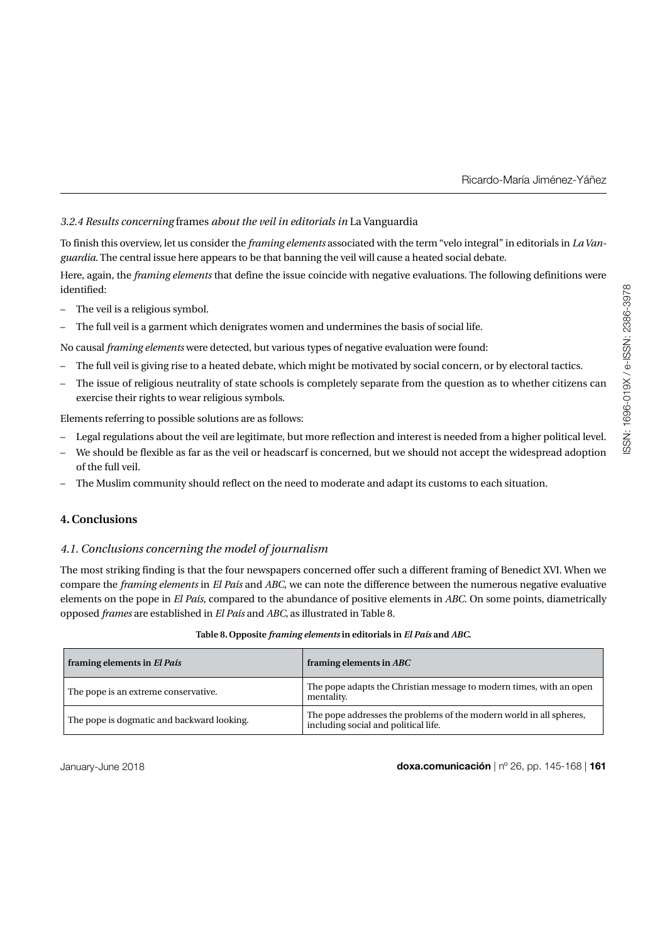# *3.2.4 Results concerning* frames *about the veil in editorials in* La Vanguardia

To finish this overview, let us consider the *framing elements* associated with the term "velo integral" in editorials in *La Vanguardia*. The central issue here appears to be that banning the veil will cause a heated social debate.

Here, again, the *framing elements* that define the issue coincide with negative evaluations. The following definitions were identified:

- The veil is a religious symbol.
- The full veil is a garment which denigrates women and undermines the basis of social life.

No causal *framing elements* were detected, but various types of negative evaluation were found:

- The full veil is giving rise to a heated debate, which might be motivated by social concern, or by electoral tactics.
- The issue of religious neutrality of state schools is completely separate from the question as to whether citizens can exercise their rights to wear religious symbols.

Elements referring to possible solutions are as follows:

- Legal regulations about the veil are legitimate, but more reflection and interest is needed from a higher political level.
- We should be flexible as far as the veil or headscarf is concerned, but we should not accept the widespread adoption of the full veil.
- The Muslim community should reflect on the need to moderate and adapt its customs to each situation.

# **4. Conclusions**

# *4.1. Conclusions concerning the model of journalism*

The most striking finding is that the four newspapers concerned offer such a different framing of Benedict XVI. When we compare the *framing elements* in *El País* and *ABC*, we can note the difference between the numerous negative evaluative elements on the pope in *El País*, compared to the abundance of positive elements in *ABC.* On some points, diametrically opposed *frames* are established in *El País* and *ABC,* as illustrated in Table 8.

#### **Table 8. Opposite** *framing elements* **in editorials in** *El País* **and** *ABC***.**

| framing elements in El País                | framing elements in ABC                                                                                     |
|--------------------------------------------|-------------------------------------------------------------------------------------------------------------|
| The pope is an extreme conservative.       | The pope adapts the Christian message to modern times, with an open<br>mentality.                           |
| The pope is dogmatic and backward looking. | The pope addresses the problems of the modern world in all spheres,<br>including social and political life. |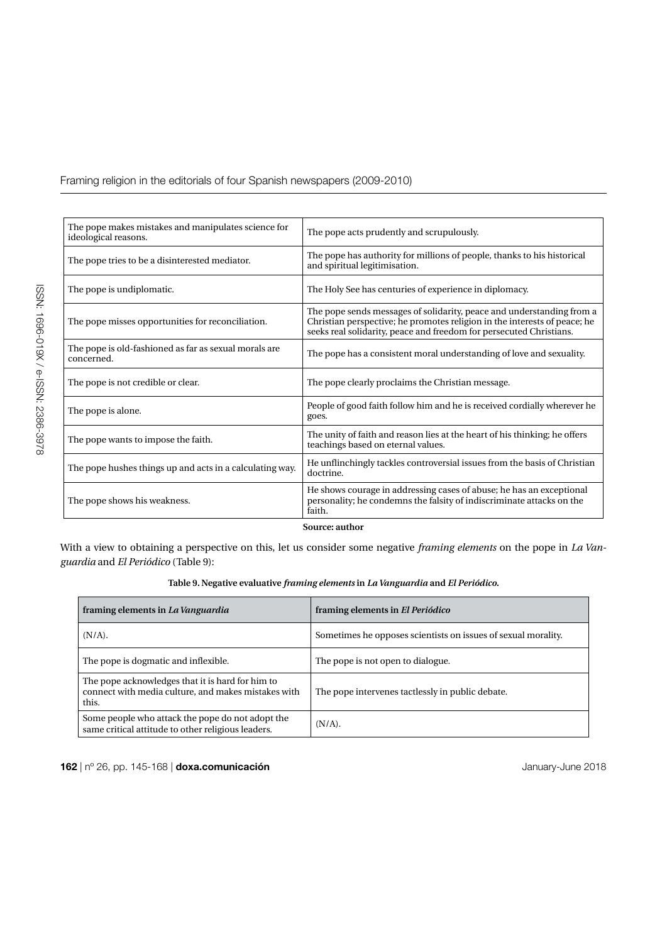| The pope makes mistakes and manipulates science for<br>ideological reasons. | The pope acts prudently and scrupulously.                                                                                                                                                                                 |
|-----------------------------------------------------------------------------|---------------------------------------------------------------------------------------------------------------------------------------------------------------------------------------------------------------------------|
| The pope tries to be a disinterested mediator.                              | The pope has authority for millions of people, thanks to his historical<br>and spiritual legitimisation.                                                                                                                  |
| The pope is undiplomatic.                                                   | The Holy See has centuries of experience in diplomacy.                                                                                                                                                                    |
| The pope misses opportunities for reconciliation.                           | The pope sends messages of solidarity, peace and understanding from a<br>Christian perspective; he promotes religion in the interests of peace; he<br>seeks real solidarity, peace and freedom for persecuted Christians. |
| The pope is old-fashioned as far as sexual morals are.<br>concerned.        | The pope has a consistent moral understanding of love and sexuality.                                                                                                                                                      |
| The pope is not credible or clear.                                          | The pope clearly proclaims the Christian message.                                                                                                                                                                         |
| The pope is alone.                                                          | People of good faith follow him and he is received cordially wherever he<br>goes.                                                                                                                                         |
| The pope wants to impose the faith.                                         | The unity of faith and reason lies at the heart of his thinking; he offers<br>teachings based on eternal values.                                                                                                          |
| The pope hushes things up and acts in a calculating way.                    | He unflinchingly tackles controversial issues from the basis of Christian<br>doctrine.                                                                                                                                    |
| The pope shows his weakness.                                                | He shows courage in addressing cases of abuse; he has an exceptional<br>personality; he condemns the falsity of indiscriminate attacks on the<br>faith.                                                                   |
|                                                                             | Source: author                                                                                                                                                                                                            |

With a view to obtaining a perspective on this, let us consider some negative *framing elements* on the pope in *La Vanguardia* and *El Periódico* (Table 9):

# **Table 9. Negative evaluative** *framing elements* **in** *La Vanguardia* **and** *El Periódico.*

| framing elements in La Vanguardia                                                                                | framing elements in El Periódico                              |
|------------------------------------------------------------------------------------------------------------------|---------------------------------------------------------------|
| $(N/A)$ .                                                                                                        | Sometimes he opposes scientists on issues of sexual morality. |
| The pope is dogmatic and inflexible.                                                                             | The pope is not open to dialogue.                             |
| The pope acknowledges that it is hard for him to<br>connect with media culture, and makes mistakes with<br>this. | The pope intervenes tactlessly in public debate.              |
| Some people who attack the pope do not adopt the<br>same critical attitude to other religious leaders.           | $(N/A)$ .                                                     |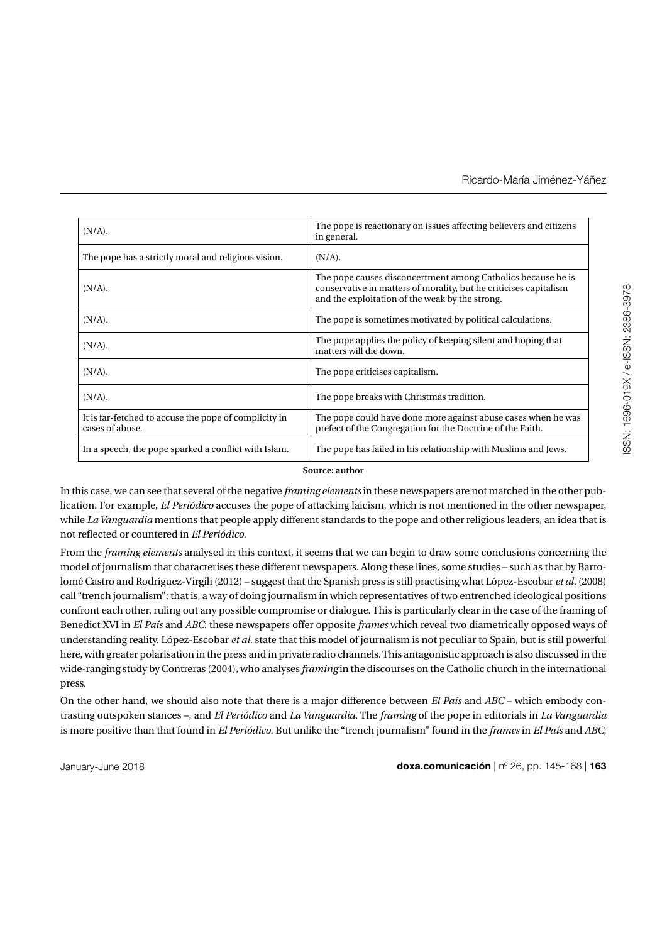| $(N/A)$ .                                                                | The pope is reactionary on issues affecting believers and citizens<br>in general.                                                                                                    |
|--------------------------------------------------------------------------|--------------------------------------------------------------------------------------------------------------------------------------------------------------------------------------|
| The pope has a strictly moral and religious vision.                      | $(N/A)$ .                                                                                                                                                                            |
| $(N/A)$ .                                                                | The pope causes disconcertment among Catholics because he is<br>conservative in matters of morality, but he criticises capitalism<br>and the exploitation of the weak by the strong. |
| $(N/A)$ .                                                                | The pope is sometimes motivated by political calculations.                                                                                                                           |
| $(N/A)$ .                                                                | The pope applies the policy of keeping silent and hoping that<br>matters will die down.                                                                                              |
| $(N/A)$ .                                                                | The pope criticises capitalism.                                                                                                                                                      |
| $(N/A)$ .                                                                | The pope breaks with Christmas tradition.                                                                                                                                            |
| It is far-fetched to accuse the pope of complicity in<br>cases of abuse. | The pope could have done more against abuse cases when he was<br>prefect of the Congregation for the Doctrine of the Faith.                                                          |
| In a speech, the pope sparked a conflict with Islam.                     | The pope has failed in his relationship with Muslims and Jews.                                                                                                                       |

**Source: author**

In this case, we can see that several of the negative *framing elements* in these newspapers are not matched in the other publication. For example, *El Periódico* accuses the pope of attacking laicism, which is not mentioned in the other newspaper, while *La Vanguardia* mentions that people apply different standards to the pope and other religious leaders, an idea that is not reflected or countered in *El Periódico.*

From the *framing elements* analysed in this context, it seems that we can begin to draw some conclusions concerning the model of journalism that characterises these different newspapers. Along these lines, some studies – such as that by Bartolomé Castro and Rodríguez-Virgili (2012) – suggest that the Spanish press is still practising what López-Escobar *et al.* (2008) call "trench journalism": that is, a way of doing journalism in which representatives of two entrenched ideological positions confront each other, ruling out any possible compromise or dialogue. This is particularly clear in the case of the framing of Benedict XVI in *El País* and *ABC*: these newspapers offer opposite *frames* which reveal two diametrically opposed ways of understanding reality. López-Escobar *et al.* state that this model of journalism is not peculiar to Spain, but is still powerful here, with greater polarisation in the press and in private radio channels. This antagonistic approach is also discussed in the wide-ranging study by Contreras (2004), who analyses *framing* in the discourses on the Catholic church in the international press.

On the other hand, we should also note that there is a major difference between *El País* and *ABC* – which embody contrasting outspoken stances –, and *El Periódico* and *La Vanguardia*. The *framing* of the pope in editorials in *La Vanguardia* is more positive than that found in *El Periódico*. But unlike the "trench journalism" found in the *frames* in *El País* and *ABC*,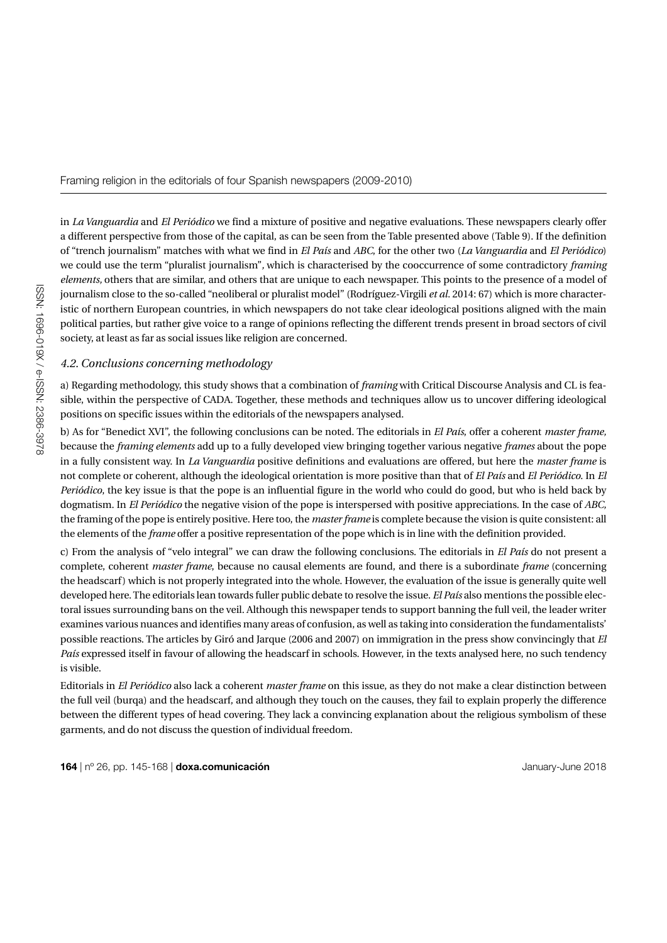in *La Vanguardia* and *El Periódico* we find a mixture of positive and negative evaluations. These newspapers clearly offer a different perspective from those of the capital, as can be seen from the Table presented above (Table 9). If the definition of "trench journalism" matches with what we find in *El País* and *ABC*, for the other two (*La Vanguardia* and *El Periódico*) we could use the term "pluralist journalism"*,* which is characterised by the cooccurrence of some contradictory *framing elements,* others that are similar, and others that are unique to each newspaper. This points to the presence of a model of journalism close to the so-called "neoliberal or pluralist model" (Rodríguez-Virgili *et al.* 2014: 67) which is more characteristic of northern European countries, in which newspapers do not take clear ideological positions aligned with the main political parties, but rather give voice to a range of opinions reflecting the different trends present in broad sectors of civil society, at least as far as social issues like religion are concerned.

## *4.2. Conclusions concerning methodology*

a) Regarding methodology, this study shows that a combination of *framing* with Critical Discourse Analysis and CL is feasible, within the perspective of CADA. Together, these methods and techniques allow us to uncover differing ideological positions on specific issues within the editorials of the newspapers analysed.

b) As for "Benedict XVI", the following conclusions can be noted. The editorials in *El País*, offer a coherent *master frame,* because the *framing elements* add up to a fully developed view bringing together various negative *frames* about the pope in a fully consistent way. In *La Vanguardia* positive definitions and evaluations are offered, but here the *master frame* is not complete or coherent, although the ideological orientation is more positive than that of *El País* and *El Periódico*. In *El Periódico*, the key issue is that the pope is an influential figure in the world who could do good, but who is held back by dogmatism. In *El Periódico* the negative vision of the pope is interspersed with positive appreciations. In the case of *ABC,* the framing of the pope is entirely positive. Here too, the *master frame* is complete because the vision is quite consistent: all the elements of the *frame* offer a positive representation of the pope which is in line with the definition provided.

c) From the analysis of "velo integral" we can draw the following conclusions. The editorials in *El País* do not present a complete, coherent *master frame*, because no causal elements are found, and there is a subordinate *frame* (concerning the headscarf) which is not properly integrated into the whole. However, the evaluation of the issue is generally quite well developed here. The editorials lean towards fuller public debate to resolve the issue. *El País* also mentions the possible electoral issues surrounding bans on the veil. Although this newspaper tends to support banning the full veil, the leader writer examines various nuances and identifies many areas of confusion, as well as taking into consideration the fundamentalists' possible reactions. The articles by Giró and Jarque (2006 and 2007) on immigration in the press show convincingly that *El País* expressed itself in favour of allowing the headscarf in schools. However, in the texts analysed here, no such tendency is visible.

Editorials in *El Periódico* also lack a coherent *master frame* on this issue, as they do not make a clear distinction between the full veil (burqa) and the headscarf, and although they touch on the causes, they fail to explain properly the difference between the different types of head covering. They lack a convincing explanation about the religious symbolism of these garments, and do not discuss the question of individual freedom.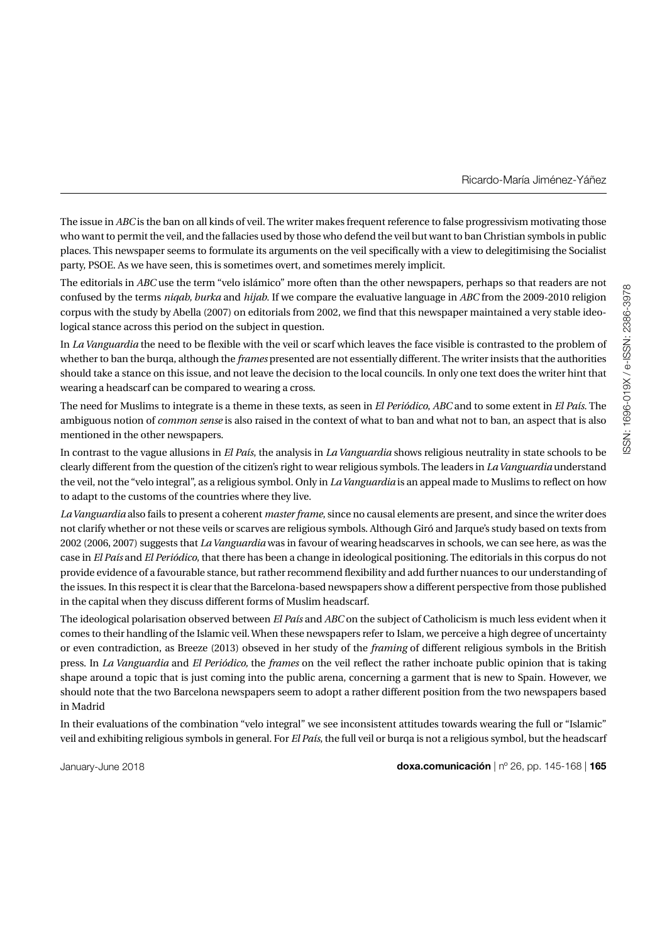The issue in *ABC* is the ban on all kinds of veil. The writer makes frequent reference to false progressivism motivating those who want to permit the veil, and the fallacies used by those who defend the veil but want to ban Christian symbols in public places. This newspaper seems to formulate its arguments on the veil specifically with a view to delegitimising the Socialist party, PSOE. As we have seen, this is sometimes overt, and sometimes merely implicit.

The editorials in *ABC* use the term "velo islámico" more often than the other newspapers, perhaps so that readers are not confused by the terms *niqab, burka* and *hijab*. If we compare the evaluative language in *ABC* from the 2009-2010 religion corpus with the study by Abella (2007) on editorials from 2002, we find that this newspaper maintained a very stable ideological stance across this period on the subject in question.

In *La Vanguardia* the need to be flexible with the veil or scarf which leaves the face visible is contrasted to the problem of whether to ban the burqa, although the *frames* presented are not essentially different. The writer insists that the authorities should take a stance on this issue, and not leave the decision to the local councils. In only one text does the writer hint that wearing a headscarf can be compared to wearing a cross.

The need for Muslims to integrate is a theme in these texts, as seen in *El Periódico*, *ABC* and to some extent in *El País.* The ambiguous notion of *common sense* is also raised in the context of what to ban and what not to ban, an aspect that is also mentioned in the other newspapers.

In contrast to the vague allusions in *El País*, the analysis in *La Vanguardia* shows religious neutrality in state schools to be clearly different from the question of the citizen's right to wear religious symbols. The leaders in *La Vanguardia* understand the veil, not the "velo integral", as a religious symbol. Only in *La Vanguardia* is an appeal made to Muslims to reflect on how to adapt to the customs of the countries where they live.

*La Vanguardia* also fails to present a coherent *master frame*, since no causal elements are present, and since the writer does not clarify whether or not these veils or scarves are religious symbols. Although Giró and Jarque's study based on texts from 2002 (2006, 2007) suggests that *La Vanguardia* was in favour of wearing headscarves in schools, we can see here, as was the case in *El País* and *El Periódico*, that there has been a change in ideological positioning. The editorials in this corpus do not provide evidence of a favourable stance, but rather recommend flexibility and add further nuances to our understanding of the issues. In this respect it is clear that the Barcelona-based newspapers show a different perspective from those published in the capital when they discuss different forms of Muslim headscarf.

The ideological polarisation observed between *El País* and *ABC* on the subject of Catholicism is much less evident when it comes to their handling of the Islamic veil. When these newspapers refer to Islam, we perceive a high degree of uncertainty or even contradiction, as Breeze (2013) obseved in her study of the *framing* of different religious symbols in the British press. In *La Vanguardia* and *El Periódico,* the *frames* on the veil reflect the rather inchoate public opinion that is taking shape around a topic that is just coming into the public arena, concerning a garment that is new to Spain. However, we should note that the two Barcelona newspapers seem to adopt a rather different position from the two newspapers based in Madrid

In their evaluations of the combination "velo integral" we see inconsistent attitudes towards wearing the full or "Islamic" veil and exhibiting religious symbols in general. For *El País*, the full veil or burqa is not a religious symbol, but the headscarf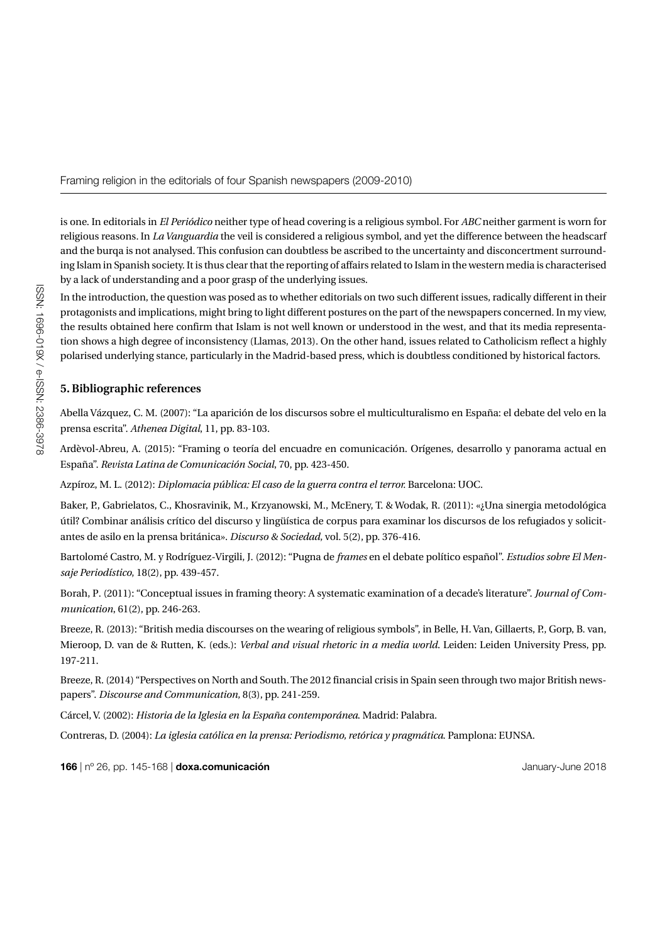is one. In editorials in *El Periódico* neither type of head covering is a religious symbol*.* For *ABC* neither garment is worn for religious reasons*.* In *La Vanguardia* the veil is considered a religious symbol, and yet the difference between the headscarf and the burqa is not analysed. This confusion can doubtless be ascribed to the uncertainty and disconcertment surrounding Islam in Spanish society. It is thus clear that the reporting of affairs related to Islam in the western media is characterised by a lack of understanding and a poor grasp of the underlying issues.

In the introduction, the question was posed as to whether editorials on two such different issues, radically different in their protagonists and implications, might bring to light different postures on the part of the newspapers concerned. In my view, the results obtained here confirm that Islam is not well known or understood in the west, and that its media representation shows a high degree of inconsistency (Llamas, 2013). On the other hand, issues related to Catholicism reflect a highly polarised underlying stance, particularly in the Madrid-based press, which is doubtless conditioned by historical factors.

# **5. Bibliographic references**

Abella Vázquez, C. M. (2007): "La aparición de los discursos sobre el multiculturalismo en España: el debate del velo en la prensa escrita". *Athenea Digital*, 11, pp. 83-103.

Ardèvol-Abreu, A. (2015): "Framing o teoría del encuadre en comunicación. Orígenes, desarrollo y panorama actual en España". *Revista Latina de Comunicación Social*, 70, pp. 423-450.

Azpíroz, M. L. (2012): *Diplomacia pública: El caso de la guerra contra el terror.* Barcelona: UOC.

Baker, P., Gabrielatos, C., Khosravinik, M., Krzyanowski, M., McEnery, T. & Wodak, R. (2011): «¿Una sinergia metodológica útil? Combinar análisis crítico del discurso y lingüística de corpus para examinar los discursos de los refugiados y solicitantes de asilo en la prensa británica». *Discurso & Sociedad,* vol. 5(2), pp. 376-416.

Bartolomé Castro, M. y Rodríguez-Virgili, J. (2012): "Pugna de *frames* en el debate político español". *Estudios sobre El Mensaje Periodístico*, 18(2), pp. 439-457.

Borah, P*.* (2011): "Conceptual issues in framing theory: A systematic examination of a decade's literature". *Journal of Communication*, 61(2), pp. 246-263.

Breeze, R. (2013): "British media discourses on the wearing of religious symbols", in Belle, H. Van, Gillaerts, P., Gorp, B. van, Mieroop, D. van de & Rutten, K. (eds.): *Verbal and visual rhetoric in a media world*. Leiden: Leiden University Press, pp. 197-211.

Breeze, R. (2014) "Perspectives on North and South. The 2012 financial crisis in Spain seen through two major British newspapers". *Discourse and Communication,* 8(3), pp. 241-259.

Cárcel, V. (2002): *Historia de la Iglesia en la España contemporánea*. Madrid: Palabra.

Contreras, D. (2004): *La iglesia católica en la prensa: Periodismo, retórica y pragmática*. Pamplona: EUNSA.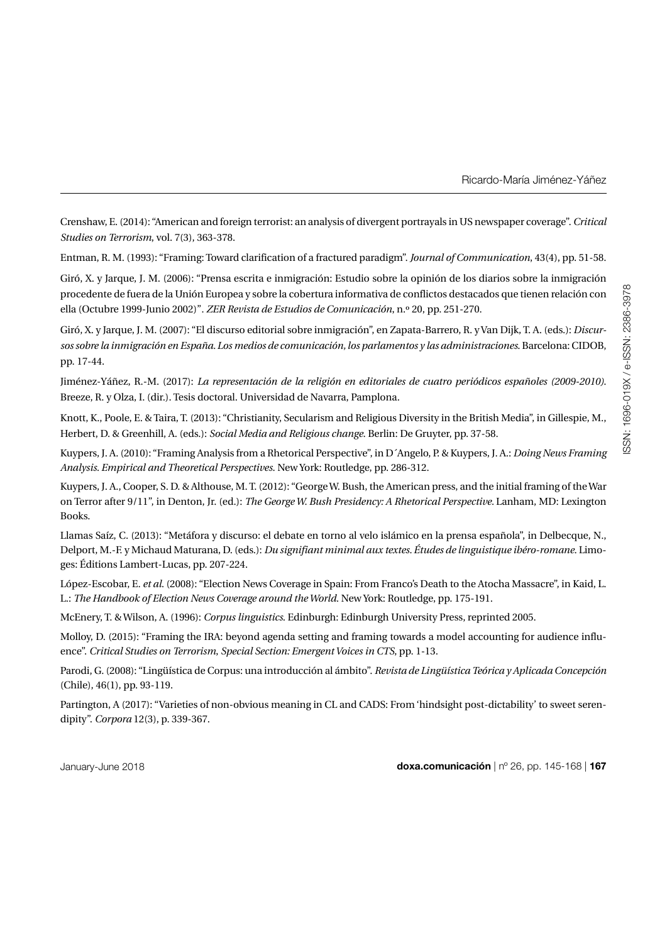Ricardo-María Jiménez-Yáñez

Crenshaw, E. (2014): "American and foreign terrorist: an analysis of divergent portrayals in US newspaper coverage". *Critical Studies on Terrorism*, vol. 7(3), 363-378.

Entman, R. M. (1993): "Framing: Toward clarification of a fractured paradigm". *Journal of Communication*, 43(4), pp. 51-58.

Giró, X. y Jarque, J. M. (2006): "Prensa escrita e inmigración: Estudio sobre la opinión de los diarios sobre la inmigración procedente de fuera de la Unión Europea y sobre la cobertura informativa de conflictos destacados que tienen relación con ella (Octubre 1999-Junio 2002)"*. ZER Revista de Estudios de Comunicación*, n.º 20, pp. 251-270.

Giró, X. y Jarque, J. M. (2007): "El discurso editorial sobre inmigración", en Zapata-Barrero, R. y Van Dijk, T. A. (eds.): *Discursos sobre la inmigración en España. Los medios de comunicación, los parlamentos y las administraciones*. Barcelona: CIDOB, pp. 17-44.

Jiménez-Yáñez, R.-M. (2017): *La representación de la religión en editoriales de cuatro periódicos españoles (2009-2010)*. Breeze, R. y Olza, I. (dir.). Tesis doctoral. Universidad de Navarra, Pamplona.

Knott, K., Poole, E. & Taira, T. (2013): "Christianity, Secularism and Religious Diversity in the British Media", in Gillespie, M., Herbert, D. & Greenhill, A. (eds.): *Social Media and Religious change*. Berlin: De Gruyter, pp. 37-58.

Kuypers, J. A. (2010): "Framing Analysis from a Rhetorical Perspective", in D´Angelo, P. & Kuypers, J. A.: *Doing News Framing Analysis. Empirical and Theoretical Perspectives*. New York: Routledge, pp. 286-312.

Kuypers, J. A., Cooper, S. D. & Althouse, M. T. (2012): "George W. Bush, the American press, and the initial framing of the War on Terror after 9/11", in Denton, Jr. (ed.): *The George W. Bush Presidency: A Rhetorical Perspective.* Lanham, MD: Lexington Books.

Llamas Saíz, C. (2013): "Metáfora y discurso: el debate en torno al velo islámico en la prensa española", in Delbecque, N., Delport, M.-F. y Michaud Maturana, D. (eds.): *Du signifiant minimal aux textes. Études de linguistique ibéro-romane*. Limoges: Éditions Lambert-Lucas, pp. 207-224.

López-Escobar, E. *et al.* (2008): "Election News Coverage in Spain: From Franco's Death to the Atocha Massacre", in Kaid, L. L.: *The Handbook of Election News Coverage around the World.* New York: Routledge, pp. 175-191.

McEnery, T. & Wilson, A. (1996): *Corpus linguistics*. Edinburgh: Edinburgh University Press, reprinted 2005.

Molloy, D. (2015): "Framing the IRA: beyond agenda setting and framing towards a model accounting for audience influence". *Critical Studies on Terrorism*, *Special Section: Emergent Voices in CTS*, pp. 1-13.

Parodi, G. (2008): "Lingüística de Corpus: una introducción al ámbito". *Revista de Lingüística Teórica y Aplicada Concepción*  (Chile), 46(1), pp. 93-119.

Partington, A (2017): "Varieties of non-obvious meaning in CL and CADS: From 'hindsight post-dictability' to sweet serendipity". *Corpora* 12(3), p. 339-367.

January-June 2018 **doxa.comunicación** | nº 26, pp. 145-168 | **167**